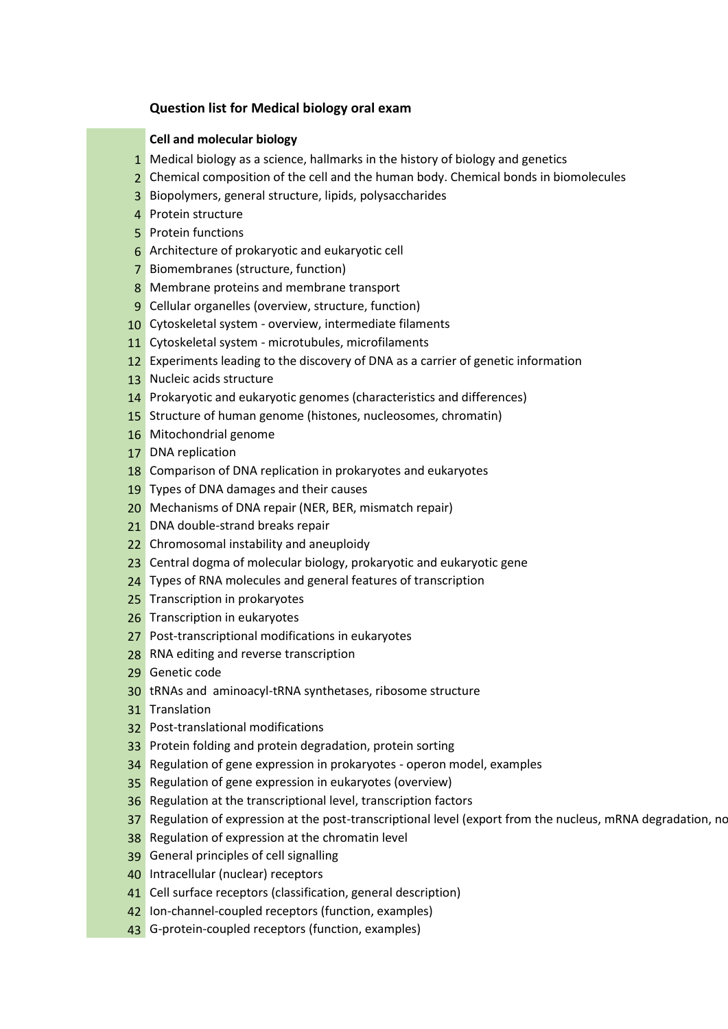## **Question list for Medical biology oral exam**

## **Cell and molecular biology**

- 1 Medical biology as a science, hallmarks in the history of biology and genetics
- 2 Chemical composition of the cell and the human body. Chemical bonds in biomolecules
- 3 Biopolymers, general structure, lipids, polysaccharides
- 4 Protein structure
- 5 Protein functions
- 6 Architecture of prokaryotic and eukaryotic cell
- 7 Biomembranes (structure, function)
- 8 Membrane proteins and membrane transport
- 9 Cellular organelles (overview, structure, function)
- 10 Cytoskeletal system overview, intermediate filaments
- 11 Cytoskeletal system microtubules, microfilaments
- 12 Experiments leading to the discovery of DNA as a carrier of genetic information
- 13 Nucleic acids structure
- 14 Prokaryotic and eukaryotic genomes (characteristics and differences)
- 15 Structure of human genome (histones, nucleosomes, chromatin)
- 16 Mitochondrial genome
- 17 DNA replication
- 18 Comparison of DNA replication in prokaryotes and eukaryotes
- 19 Types of DNA damages and their causes
- 20 Mechanisms of DNA repair (NER, BER, mismatch repair)
- 21 DNA double-strand breaks repair
- 22 Chromosomal instability and aneuploidy
- 23 Central dogma of molecular biology, prokaryotic and eukaryotic gene
- 24 Types of RNA molecules and general features of transcription
- 25 Transcription in prokaryotes
- 26 Transcription in eukaryotes
- 27 Post-transcriptional modifications in eukaryotes
- 28 RNA editing and reverse transcription
- 29 Genetic code
- 30 tRNAs and aminoacyl-tRNA synthetases, ribosome structure
- 31 Translation
- 32 Post-translational modifications
- 33 Protein folding and protein degradation, protein sorting
- 34 Regulation of gene expression in prokaryotes operon model, examples
- 35 Regulation of gene expression in eukaryotes (overview)
- 36 Regulation at the transcriptional level, transcription factors
- 37 Regulation of expression at the post-transcriptional level (export from the nucleus, mRNA degradation, non-
- 38 Regulation of expression at the chromatin level
- 39 General principles of cell signalling
- 40 Intracellular (nuclear) receptors
- 41 Cell surface receptors (classification, general description)
- 42 Ion-channel-coupled receptors (function, examples)
- 43 G-protein-coupled receptors (function, examples)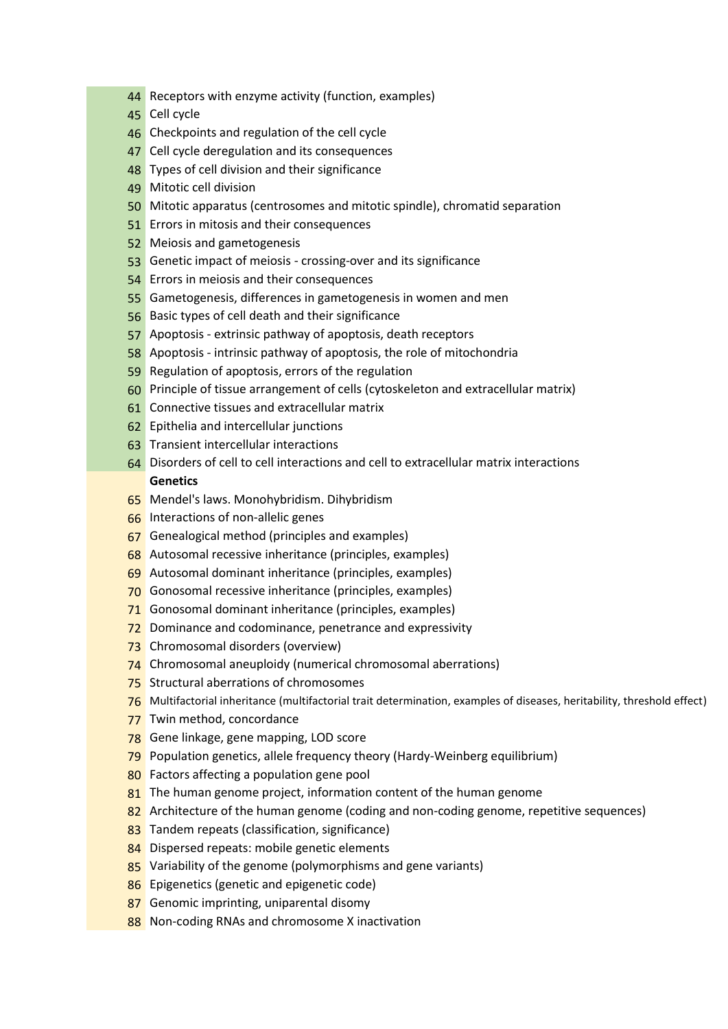- Receptors with enzyme activity (function, examples)
- Cell cycle
- Checkpoints and regulation of the cell cycle
- 47 Cell cycle deregulation and its consequences
- 48 Types of cell division and their significance
- Mitotic cell division
- Mitotic apparatus (centrosomes and mitotic spindle), chromatid separation
- 51 Errors in mitosis and their consequences
- Meiosis and gametogenesis
- Genetic impact of meiosis crossing-over and its significance
- Errors in meiosis and their consequences
- Gametogenesis, differences in gametogenesis in women and men
- Basic types of cell death and their significance
- Apoptosis extrinsic pathway of apoptosis, death receptors
- Apoptosis intrinsic pathway of apoptosis, the role of mitochondria
- Regulation of apoptosis, errors of the regulation
- Principle of tissue arrangement of cells (cytoskeleton and extracellular matrix)
- Connective tissues and extracellular matrix
- Epithelia and intercellular junctions
- Transient intercellular interactions
- Disorders of cell to cell interactions and cell to extracellular matrix interactions **Genetics**
- Mendel's laws. Monohybridism. Dihybridism
- Interactions of non-allelic genes
- Genealogical method (principles and examples)
- Autosomal recessive inheritance (principles, examples)
- Autosomal dominant inheritance (principles, examples)
- Gonosomal recessive inheritance (principles, examples)
- Gonosomal dominant inheritance (principles, examples)
- 72 Dominance and codominance, penetrance and expressivity
- 73 Chromosomal disorders (overview)
- Chromosomal aneuploidy (numerical chromosomal aberrations)
- Structural aberrations of chromosomes
- 76 Multifactorial inheritance (multifactorial trait determination, examples of diseases, heritability, threshold effect)
- 77 Twin method, concordance
- Gene linkage, gene mapping, LOD score
- Population genetics, allele frequency theory (Hardy-Weinberg equilibrium)
- 80 Factors affecting a population gene pool
- 81 The human genome project, information content of the human genome
- 82 Architecture of the human genome (coding and non-coding genome, repetitive sequences)
- 83 Tandem repeats (classification, significance)
- 84 Dispersed repeats: mobile genetic elements
- 85 Variability of the genome (polymorphisms and gene variants)
- 86 Epigenetics (genetic and epigenetic code)
- 87 Genomic imprinting, uniparental disomy
- 88 Non-coding RNAs and chromosome X inactivation